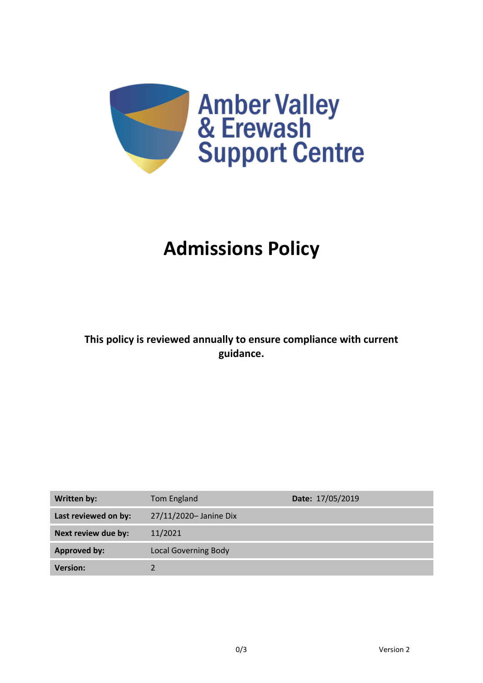

# **Admissions Policy**

**This policy is reviewed annually to ensure compliance with current guidance.**

| <b>Written by:</b>   | Tom England                 | Date: 17/05/2019 |
|----------------------|-----------------------------|------------------|
| Last reviewed on by: | 27/11/2020- Janine Dix      |                  |
| Next review due by:  | 11/2021                     |                  |
| <b>Approved by:</b>  | <b>Local Governing Body</b> |                  |
| <b>Version:</b>      |                             |                  |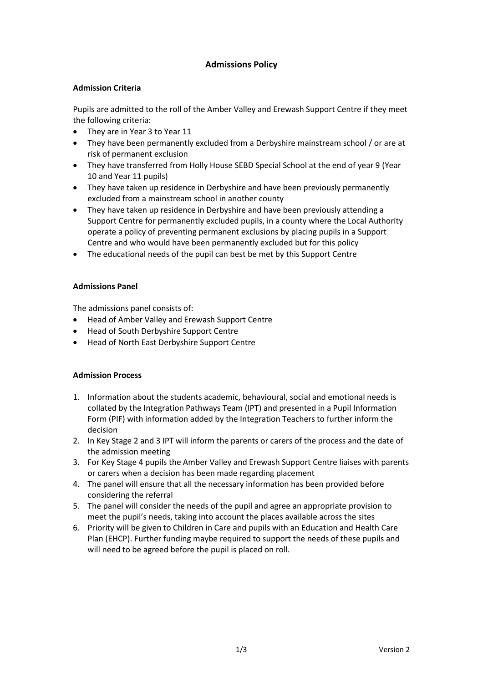## **Admissions Policy**

## **Admission Criteria**

Pupils are admitted to the roll of the Amber Valley and Erewash Support Centre if they meet the following criteria:

- They are in Year 3 to Year 11
- They have been permanently excluded from a Derbyshire mainstream school / or are at risk of permanent exclusion
- They have transferred from Holly House SEBD Special School at the end of year 9 (Year 10 and Year 11 pupils)
- They have taken up residence in Derbyshire and have been previously permanently excluded from a mainstream school in another county
- They have taken up residence in Derbyshire and have been previously attending a Support Centre for permanently excluded pupils, in a county where the Local Authority operate a policy of preventing permanent exclusions by placing pupils in a Support Centre and who would have been permanently excluded but for this policy
- The educational needs of the pupil can best be met by this Support Centre

#### **Admissions Panel**

The admissions panel consists of:

- Head of Amber Valley and Erewash Support Centre
- Head of South Derbyshire Support Centre
- Head of North East Derbyshire Support Centre

## **Admission Process**

- 1. Information about the students academic, behavioural, social and emotional needs is collated by the Integration Pathways Team (IPT) and presented in a Pupil Information Form (PIF) with information added by the Integration Teachers to further inform the decision
- 2. In Key Stage 2 and 3 IPT will inform the parents or carers of the process and the date of the admission meeting
- 3. For Key Stage 4 pupils the Amber Valley and Erewash Support Centre liaises with parents or carers when a decision has been made regarding placement
- 4. The panel will ensure that all the necessary information has been provided before considering the referral
- 5. The panel will consider the needs of the pupil and agree an appropriate provision to meet the pupil's needs, taking into account the places available across the sites
- 6. Priority will be given to Children in Care and pupils with an Education and Health Care Plan (EHCP). Further funding maybe required to support the needs of these pupils and will need to be agreed before the pupil is placed on roll.